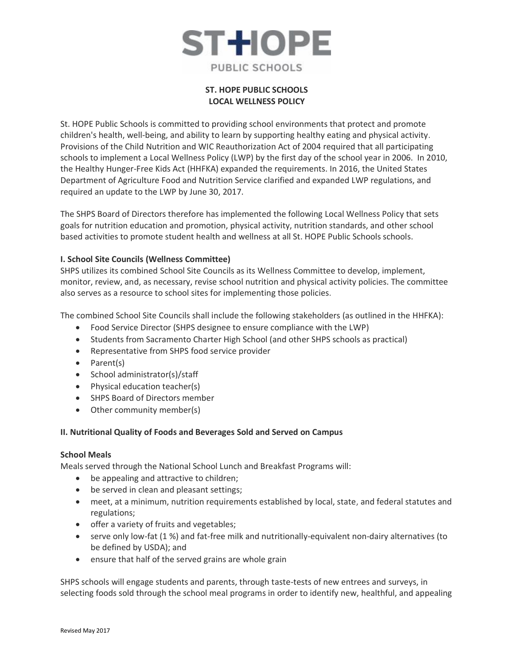

# **ST. HOPE PUBLIC SCHOOLS LOCAL WELLNESS POLICY**

St. HOPE Public Schools is committed to providing school environments that protect and promote children's health, well-being, and ability to learn by supporting healthy eating and physical activity. Provisions of the Child Nutrition and WIC Reauthorization Act of 2004 required that all participating schools to implement a Local Wellness Policy (LWP) by the first day of the school year in 2006. In 2010, the Healthy Hunger-Free Kids Act (HHFKA) expanded the requirements. In 2016, the United States Department of Agriculture Food and Nutrition Service clarified and expanded LWP regulations, and required an update to the LWP by June 30, 2017.

The SHPS Board of Directors therefore has implemented the following Local Wellness Policy that sets goals for nutrition education and promotion, physical activity, nutrition standards, and other school based activities to promote student health and wellness at all St. HOPE Public Schools schools.

# **I. School Site Councils (Wellness Committee)**

SHPS utilizes its combined School Site Councils as its Wellness Committee to develop, implement, monitor, review, and, as necessary, revise school nutrition and physical activity policies. The committee also serves as a resource to school sites for implementing those policies.

The combined School Site Councils shall include the following stakeholders (as outlined in the HHFKA):

- Food Service Director (SHPS designee to ensure compliance with the LWP)
- Students from Sacramento Charter High School (and other SHPS schools as practical)
- Representative from SHPS food service provider
- Parent(s)
- School administrator(s)/staff
- Physical education teacher(s)
- SHPS Board of Directors member
- Other community member(s)

# **II. Nutritional Quality of Foods and Beverages Sold and Served on Campus**

# **School Meals**

Meals served through the National School Lunch and Breakfast Programs will:

- be appealing and attractive to children;
- be served in clean and pleasant settings;
- meet, at a minimum, nutrition requirements established by local, state, and federal statutes and regulations;
- offer a variety of fruits and vegetables;
- serve only low-fat (1 %) and fat-free milk and nutritionally-equivalent non-dairy alternatives (to be defined by USDA); and
- ensure that half of the served grains are whole grain

SHPS schools will engage students and parents, through taste-tests of new entrees and surveys, in selecting foods sold through the school meal programs in order to identify new, healthful, and appealing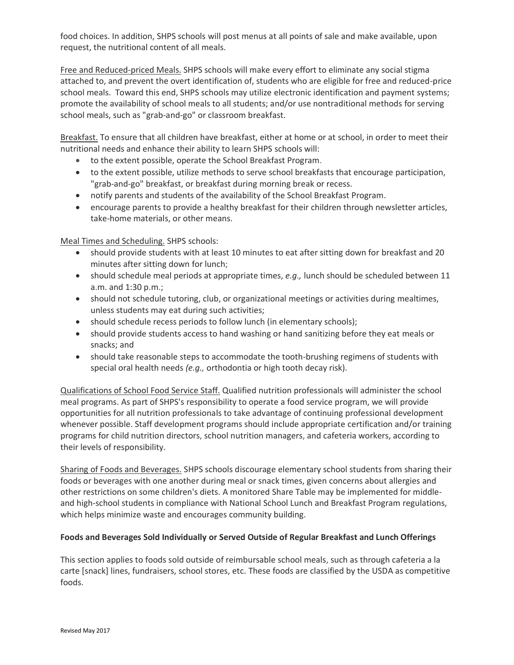food choices. In addition, SHPS schools will post menus at all points of sale and make available, upon request, the nutritional content of all meals.

Free and Reduced-priced Meals. SHPS schools will make every effort to eliminate any social stigma attached to, and prevent the overt identification of, students who are eligible for free and reduced-price school meals. Toward this end, SHPS schools may utilize electronic identification and payment systems; promote the availability of school meals to all students; and/or use nontraditional methods for serving school meals, such as "grab-and-go" or classroom breakfast.

Breakfast. To ensure that all children have breakfast, either at home or at school, in order to meet their nutritional needs and enhance their ability to learn SHPS schools will:

- to the extent possible, operate the School Breakfast Program.
- to the extent possible, utilize methods to serve school breakfasts that encourage participation, "grab-and-go" breakfast, or breakfast during morning break or recess.
- notify parents and students of the availability of the School Breakfast Program.
- encourage parents to provide a healthy breakfast for their children through newsletter articles, take-home materials, or other means.

Meal Times and Scheduling. SHPS schools:

- should provide students with at least 10 minutes to eat after sitting down for breakfast and 20 minutes after sitting down for lunch;
- should schedule meal periods at appropriate times, *e.g.,* lunch should be scheduled between 11 a.m. and 1:30 p.m.;
- should not schedule tutoring, club, or organizational meetings or activities during mealtimes, unless students may eat during such activities;
- should schedule recess periods to follow lunch (in elementary schools);
- should provide students access to hand washing or hand sanitizing before they eat meals or snacks; and
- should take reasonable steps to accommodate the tooth-brushing regimens of students with special oral health needs *(e.g.,* orthodontia or high tooth decay risk).

Qualifications of School Food Service Staff. Qualified nutrition professionals will administer the school meal programs. As part of SHPS's responsibility to operate a food service program, we will provide opportunities for all nutrition professionals to take advantage of continuing professional development whenever possible. Staff development programs should include appropriate certification and/or training programs for child nutrition directors, school nutrition managers, and cafeteria workers, according to their levels of responsibility.

Sharing of Foods and Beverages. SHPS schools discourage elementary school students from sharing their foods or beverages with one another during meal or snack times, given concerns about allergies and other restrictions on some children's diets. A monitored Share Table may be implemented for middleand high-school students in compliance with National School Lunch and Breakfast Program regulations, which helps minimize waste and encourages community building.

# **Foods and Beverages Sold Individually or Served Outside of Regular Breakfast and Lunch Offerings**

This section applies to foods sold outside of reimbursable school meals, such as through cafeteria a la carte [snack] lines, fundraisers, school stores, etc. These foods are classified by the USDA as competitive foods.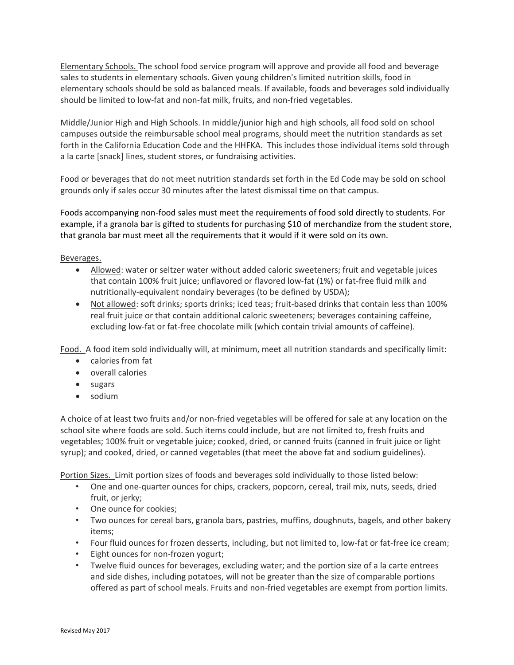Elementary Schools. The school food service program will approve and provide all food and beverage sales to students in elementary schools. Given young children's limited nutrition skills, food in elementary schools should be sold as balanced meals. If available, foods and beverages sold individually should be limited to low-fat and non-fat milk, fruits, and non-fried vegetables.

Middle/Junior High and High Schools. In middle/junior high and high schools, all food sold on school campuses outside the reimbursable school meal programs, should meet the nutrition standards as set forth in the California Education Code and the HHFKA. This includes those individual items sold through a la carte [snack] lines, student stores, or fundraising activities.

Food or beverages that do not meet nutrition standards set forth in the Ed Code may be sold on school grounds only if sales occur 30 minutes after the latest dismissal time on that campus.

Foods accompanying non-food sales must meet the requirements of food sold directly to students. For example, if a granola bar is gifted to students for purchasing \$10 of merchandize from the student store, that granola bar must meet all the requirements that it would if it were sold on its own.

Beverages.

- Allowed: water or seltzer water without added caloric sweeteners; fruit and vegetable juices that contain 100% fruit juice; unflavored or flavored low-fat (1%) or fat-free fluid milk and nutritionally-equivalent nondairy beverages (to be defined by USDA);
- Not allowed: soft drinks; sports drinks; iced teas; fruit-based drinks that contain less than 100% real fruit juice or that contain additional caloric sweeteners; beverages containing caffeine, excluding low-fat or fat-free chocolate milk (which contain trivial amounts of caffeine).

Food. A food item sold individually will, at minimum, meet all nutrition standards and specifically limit:

- calories from fat
- overall calories
- sugars
- sodium

A choice of at least two fruits and/or non-fried vegetables will be offered for sale at any location on the school site where foods are sold. Such items could include, but are not limited to, fresh fruits and vegetables; 100% fruit or vegetable juice; cooked, dried, or canned fruits (canned in fruit juice or light syrup); and cooked, dried, or canned vegetables (that meet the above fat and sodium guidelines).

Portion Sizes. Limit portion sizes of foods and beverages sold individually to those listed below:

- One and one-quarter ounces for chips, crackers, popcorn, cereal, trail mix, nuts, seeds, dried fruit, or jerky;
- One ounce for cookies;
- Two ounces for cereal bars, granola bars, pastries, muffins, doughnuts, bagels, and other bakery items;
- Four fluid ounces for frozen desserts, including, but not limited to, low-fat or fat-free ice cream;
- Eight ounces for non-frozen yogurt;
- Twelve fluid ounces for beverages, excluding water; and the portion size of a la carte entrees and side dishes, including potatoes, will not be greater than the size of comparable portions offered as part of school meals. Fruits and non-fried vegetables are exempt from portion limits.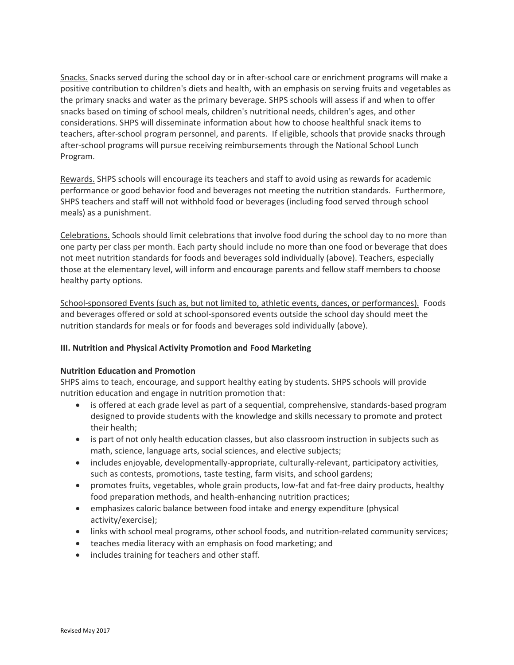Snacks. Snacks served during the school day or in after-school care or enrichment programs will make a positive contribution to children's diets and health, with an emphasis on serving fruits and vegetables as the primary snacks and water as the primary beverage. SHPS schools will assess if and when to offer snacks based on timing of school meals, children's nutritional needs, children's ages, and other considerations. SHPS will disseminate information about how to choose healthful snack items to teachers, after-school program personnel, and parents. If eligible, schools that provide snacks through after-school programs will pursue receiving reimbursements through the National School Lunch Program.

Rewards. SHPS schools will encourage its teachers and staff to avoid using as rewards for academic performance or good behavior food and beverages not meeting the nutrition standards. Furthermore, SHPS teachers and staff will not withhold food or beverages (including food served through school meals) as a punishment.

Celebrations. Schools should limit celebrations that involve food during the school day to no more than one party per class per month. Each party should include no more than one food or beverage that does not meet nutrition standards for foods and beverages sold individually (above). Teachers, especially those at the elementary level, will inform and encourage parents and fellow staff members to choose healthy party options.

School-sponsored Events (such as, but not limited to, athletic events, dances, or performances).Foods and beverages offered or sold at school-sponsored events outside the school day should meet the nutrition standards for meals or for foods and beverages sold individually (above).

# **III. Nutrition and Physical Activity Promotion and Food Marketing**

#### **Nutrition Education and Promotion**

SHPS aims to teach, encourage, and support healthy eating by students. SHPS schools will provide nutrition education and engage in nutrition promotion that:

- is offered at each grade level as part of a sequential, comprehensive, standards-based program designed to provide students with the knowledge and skills necessary to promote and protect their health;
- is part of not only health education classes, but also classroom instruction in subjects such as math, science, language arts, social sciences, and elective subjects;
- includes enjoyable, developmentally-appropriate, culturally-relevant, participatory activities, such as contests, promotions, taste testing, farm visits, and school gardens;
- promotes fruits, vegetables, whole grain products, low-fat and fat-free dairy products, healthy food preparation methods, and health-enhancing nutrition practices;
- emphasizes caloric balance between food intake and energy expenditure (physical activity/exercise);
- links with school meal programs, other school foods, and nutrition-related community services;
- teaches media literacy with an emphasis on food marketing; and
- includes training for teachers and other staff.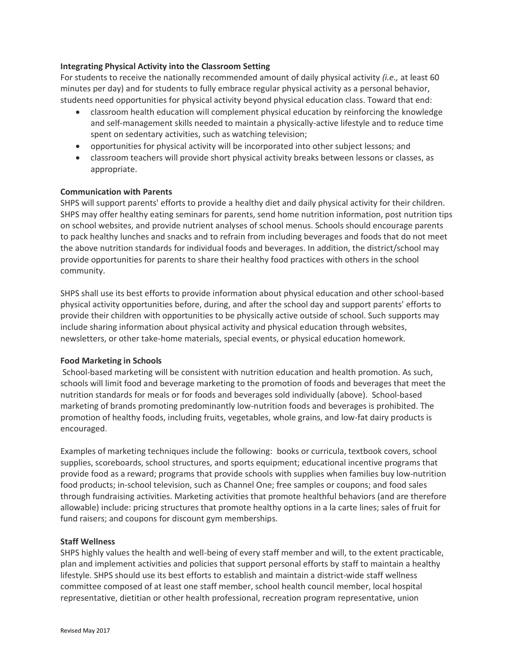### **Integrating Physical Activity into the Classroom Setting**

For students to receive the nationally recommended amount of daily physical activity *(i.e.,* at least 60 minutes per day) and for students to fully embrace regular physical activity as a personal behavior, students need opportunities for physical activity beyond physical education class. Toward that end:

- classroom health education will complement physical education by reinforcing the knowledge and self-management skills needed to maintain a physically-active lifestyle and to reduce time spent on sedentary activities, such as watching television;
- opportunities for physical activity will be incorporated into other subject lessons; and
- classroom teachers will provide short physical activity breaks between lessons or classes, as appropriate.

### **Communication with Parents**

SHPS will support parents' efforts to provide a healthy diet and daily physical activity for their children. SHPS may offer healthy eating seminars for parents, send home nutrition information, post nutrition tips on school websites, and provide nutrient analyses of school menus. Schools should encourage parents to pack healthy lunches and snacks and to refrain from including beverages and foods that do not meet the above nutrition standards for individual foods and beverages. In addition, the district/school may provide opportunities for parents to share their healthy food practices with others in the school community.

SHPS shall use its best efforts to provide information about physical education and other school-based physical activity opportunities before, during, and after the school day and support parents' efforts to provide their children with opportunities to be physically active outside of school. Such supports may include sharing information about physical activity and physical education through websites, newsletters, or other take-home materials, special events, or physical education homework.

#### **Food Marketing in Schools**

School-based marketing will be consistent with nutrition education and health promotion. As such, schools will limit food and beverage marketing to the promotion of foods and beverages that meet the nutrition standards for meals or for foods and beverages sold individually (above). School-based marketing of brands promoting predominantly low-nutrition foods and beverages is prohibited. The promotion of healthy foods, including fruits, vegetables, whole grains, and low-fat dairy products is encouraged.

Examples of marketing techniques include the following: books or curricula, textbook covers, school supplies, scoreboards, school structures, and sports equipment; educational incentive programs that provide food as a reward; programs that provide schools with supplies when families buy low-nutrition food products; in-school television, such as Channel One; free samples or coupons; and food sales through fundraising activities. Marketing activities that promote healthful behaviors (and are therefore allowable) include: pricing structures that promote healthy options in a la carte lines; sales of fruit for fund raisers; and coupons for discount gym memberships.

#### **Staff Wellness**

SHPS highly values the health and well-being of every staff member and will, to the extent practicable, plan and implement activities and policies that support personal efforts by staff to maintain a healthy lifestyle. SHPS should use its best efforts to establish and maintain a district-wide staff wellness committee composed of at least one staff member, school health council member, local hospital representative, dietitian or other health professional, recreation program representative, union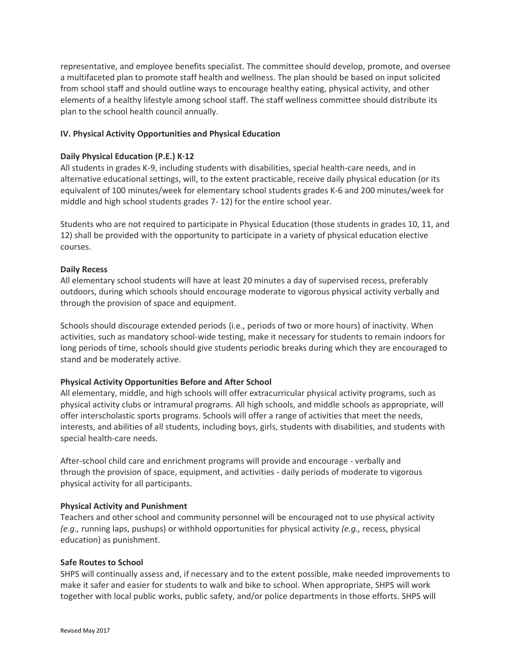representative, and employee benefits specialist. The committee should develop, promote, and oversee a multifaceted plan to promote staff health and wellness. The plan should be based on input solicited from school staff and should outline ways to encourage healthy eating, physical activity, and other elements of a healthy lifestyle among school staff. The staff wellness committee should distribute its plan to the school health council annually.

# **IV. Physical Activity Opportunities and Physical Education**

### **Daily Physical Education (P.E.) K·12**

All students in grades K-9, including students with disabilities, special health-care needs, and in alternative educational settings, will, to the extent practicable, receive daily physical education (or its equivalent of 100 minutes/week for elementary school students grades K-6 and 200 minutes/week for middle and high school students grades 7- 12) for the entire school year.

Students who are not required to participate in Physical Education (those students in grades 10, 11, and 12) shall be provided with the opportunity to participate in a variety of physical education elective courses.

### **Daily Recess**

All elementary school students will have at least 20 minutes a day of supervised recess, preferably outdoors, during which schools should encourage moderate to vigorous physical activity verbally and through the provision of space and equipment.

Schools should discourage extended periods (i.e., periods of two or more hours) of inactivity. When activities, such as mandatory school-wide testing, make it necessary for students to remain indoors for long periods of time, schools should give students periodic breaks during which they are encouraged to stand and be moderately active.

#### **Physical Activity Opportunities Before and After School**

All elementary, middle, and high schools will offer extracurricular physical activity programs, such as physical activity clubs or intramural programs. All high schools, and middle schools as appropriate, will offer interscholastic sports programs. Schools will offer a range of activities that meet the needs, interests, and abilities of all students, including boys, girls, students with disabilities, and students with special health-care needs.

After-school child care and enrichment programs will provide and encourage - verbally and through the provision of space, equipment, and activities - daily periods of moderate to vigorous physical activity for all participants.

#### **Physical Activity and Punishment**

Teachers and other school and community personnel will be encouraged not to use physical activity *(e.g.,* running laps, pushups) or withhold opportunities for physical activity *(e.g.,* recess, physical education) as punishment.

#### **Safe Routes to School**

SHPS will continually assess and, if necessary and to the extent possible, make needed improvements to make it safer and easier for students to walk and bike to school. When appropriate, SHPS will work together with local public works, public safety, and/or police departments in those efforts. SHPS will